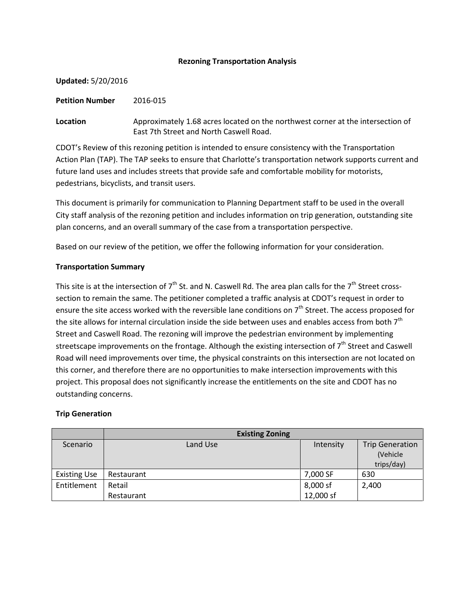### **Rezoning Transportation Analysis**

**Updated:** 5/20/2016

**Petition Number** 2016-015

**Location** Approximately 1.68 acres located on the northwest corner at the intersection of East 7th Street and North Caswell Road.

CDOT's Review of this rezoning petition is intended to ensure consistency with the Transportation Action Plan (TAP). The TAP seeks to ensure that Charlotte's transportation network supports current and future land uses and includes streets that provide safe and comfortable mobility for motorists, pedestrians, bicyclists, and transit users.

This document is primarily for communication to Planning Department staff to be used in the overall City staff analysis of the rezoning petition and includes information on trip generation, outstanding site plan concerns, and an overall summary of the case from a transportation perspective.

Based on our review of the petition, we offer the following information for your consideration.

## **Transportation Summary**

This site is at the intersection of  $7<sup>th</sup>$  St. and N. Caswell Rd. The area plan calls for the  $7<sup>th</sup>$  Street crosssection to remain the same. The petitioner completed a traffic analysis at CDOT's request in order to ensure the site access worked with the reversible lane conditions on  $7<sup>th</sup>$  Street. The access proposed for the site allows for internal circulation inside the side between uses and enables access from both 7<sup>th</sup> Street and Caswell Road. The rezoning will improve the pedestrian environment by implementing streetscape improvements on the frontage. Although the existing intersection of  $7<sup>th</sup>$  Street and Caswell Road will need improvements over time, the physical constraints on this intersection are not located on this corner, and therefore there are no opportunities to make intersection improvements with this project. This proposal does not significantly increase the entitlements on the site and CDOT has no outstanding concerns.

## **Trip Generation**

|                     | <b>Existing Zoning</b> |           |                                                  |
|---------------------|------------------------|-----------|--------------------------------------------------|
| Scenario            | Land Use               | Intensity | <b>Trip Generation</b><br>(Vehicle<br>trips/day) |
| <b>Existing Use</b> | Restaurant             | 7,000 SF  | 630                                              |
| Entitlement         | Retail                 | 8,000 sf  | 2,400                                            |
|                     | Restaurant             | 12,000 sf |                                                  |